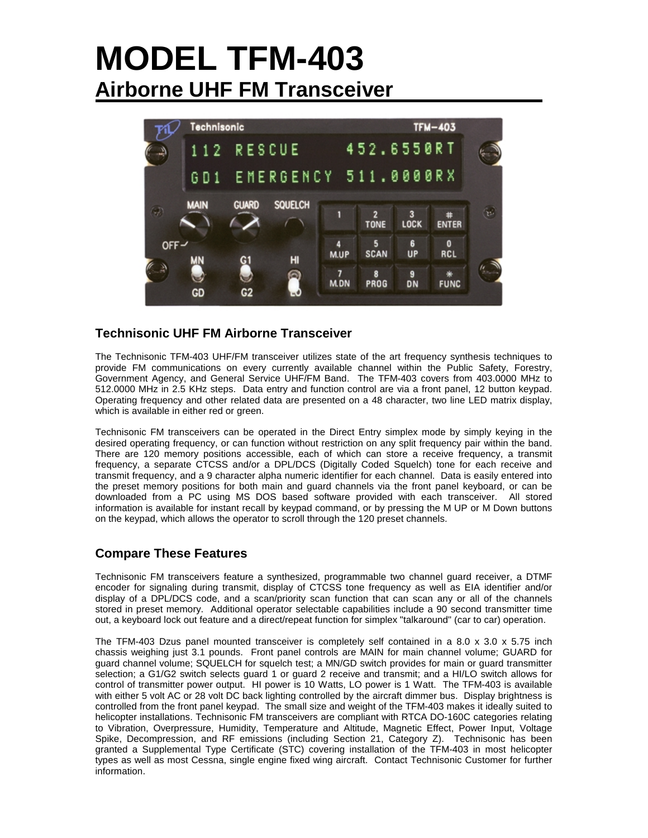# **MODEL TFM-403 Airborne UHF FM Transceiver**



## **Technisonic UHF FM Airborne Transceiver**

The Technisonic TFM-403 UHF/FM transceiver utilizes state of the art frequency synthesis techniques to provide FM communications on every currently available channel within the Public Safety, Forestry, Government Agency, and General Service UHF/FM Band. The TFM-403 covers from 403.0000 MHz to 512.0000 MHz in 2.5 KHz steps. Data entry and function control are via a front panel, 12 button keypad. Operating frequency and other related data are presented on a 48 character, two line LED matrix display, which is available in either red or green.

Technisonic FM transceivers can be operated in the Direct Entry simplex mode by simply keying in the desired operating frequency, or can function without restriction on any split frequency pair within the band. There are 120 memory positions accessible, each of which can store a receive frequency, a transmit frequency, a separate CTCSS and/or a DPL/DCS (Digitally Coded Squelch) tone for each receive and transmit frequency, and a 9 character alpha numeric identifier for each channel. Data is easily entered into the preset memory positions for both main and guard channels via the front panel keyboard, or can be downloaded from a PC using MS DOS based software provided with each transceiver. All stored information is available for instant recall by keypad command, or by pressing the M UP or M Down buttons on the keypad, which allows the operator to scroll through the 120 preset channels.

## **Compare These Features**

Technisonic FM transceivers feature a synthesized, programmable two channel guard receiver, a DTMF encoder for signaling during transmit, display of CTCSS tone frequency as well as EIA identifier and/or display of a DPL/DCS code, and a scan/priority scan function that can scan any or all of the channels stored in preset memory. Additional operator selectable capabilities include a 90 second transmitter time out, a keyboard lock out feature and a direct/repeat function for simplex "talkaround" (car to car) operation.

The TFM-403 Dzus panel mounted transceiver is completely self contained in a 8.0 x 3.0 x 5.75 inch chassis weighing just 3.1 pounds. Front panel controls are MAIN for main channel volume; GUARD for guard channel volume; SQUELCH for squelch test; a MN/GD switch provides for main or guard transmitter selection; a G1/G2 switch selects guard 1 or guard 2 receive and transmit; and a HI/LO switch allows for control of transmitter power output. HI power is 10 Watts, LO power is 1 Watt. The TFM-403 is available with either 5 volt AC or 28 volt DC back lighting controlled by the aircraft dimmer bus. Display brightness is controlled from the front panel keypad. The small size and weight of the TFM-403 makes it ideally suited to helicopter installations. Technisonic FM transceivers are compliant with RTCA DO-160C categories relating to Vibration, Overpressure, Humidity, Temperature and Altitude, Magnetic Effect, Power Input, Voltage Spike, Decompression, and RF emissions (including Section 21, Category Z). Technisonic has been granted a Supplemental Type Certificate (STC) covering installation of the TFM-403 in most helicopter types as well as most Cessna, single engine fixed wing aircraft. Contact Technisonic Customer for further information.